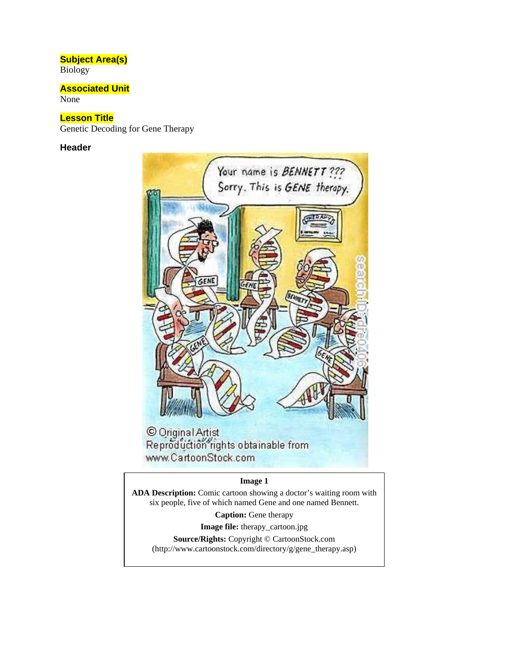#### **Subject Area(s)**

Biology

### **Associated Unit**

None

### **Lesson Title**

Genetic Decoding for Gene Therapy

#### **Header**



www.CartoonStock.com

#### **Image 1**

**ADA Description:** Comic cartoon showing a doctor's waiting room with six people, five of which named Gene and one named Bennett.

**Caption:** Gene therapy

**Image file:** therapy\_cartoon.jpg

**Source/Rights:** Copyright © CartoonStock.com (http://www.cartoonstock.com/directory/g/gene\_therapy.asp)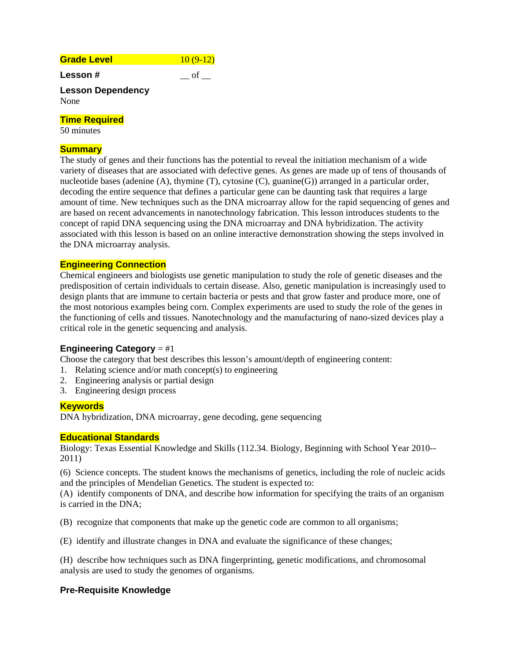# **Grade Level 10 (9-12)**

**Lesson #**  $\qquad$   $\qquad$  of  $\qquad$ 

#### **Lesson Dependency**  None

#### **Time Required**

50 minutes

### **Summary**

The study of genes and their functions has the potential to reveal the initiation mechanism of a wide variety of diseases that are associated with defective genes. As genes are made up of tens of thousands of nucleotide bases (adenine  $(A)$ , thymine  $(T)$ , cytosine  $(C)$ , guanine $(G)$ ) arranged in a particular order, decoding the entire sequence that defines a particular gene can be daunting task that requires a large amount of time. New techniques such as the DNA microarray allow for the rapid sequencing of genes and are based on recent advancements in nanotechnology fabrication. This lesson introduces students to the concept of rapid DNA sequencing using the DNA microarray and DNA hybridization. The activity associated with this lesson is based on an online interactive demonstration showing the steps involved in the DNA microarray analysis.

### **Engineering Connection**

Chemical engineers and biologists use genetic manipulation to study the role of genetic diseases and the predisposition of certain individuals to certain disease. Also, genetic manipulation is increasingly used to design plants that are immune to certain bacteria or pests and that grow faster and produce more, one of the most notorious examples being corn. Complex experiments are used to study the role of the genes in the functioning of cells and tissues. Nanotechnology and the manufacturing of nano-sized devices play a critical role in the genetic sequencing and analysis.

### **Engineering Category** = #1

Choose the category that best describes this lesson's amount/depth of engineering content:

- 1. Relating science and/or math concept(s) to engineering
- 2. Engineering analysis or partial design
- 3. Engineering design process

### **Keywords**

DNA hybridization, DNA microarray, gene decoding, gene sequencing

### **Educational Standards**

Biology: Texas Essential Knowledge and Skills (112.34. Biology, Beginning with School Year 2010-- 2011)

(6) Science concepts. The student knows the mechanisms of genetics, including the role of nucleic acids and the principles of Mendelian Genetics. The student is expected to:

(A) identify components of DNA, and describe how information for specifying the traits of an organism is carried in the DNA;

(B) recognize that components that make up the genetic code are common to all organisms;

(E) identify and illustrate changes in DNA and evaluate the significance of these changes;

(H) describe how techniques such as DNA fingerprinting, genetic modifications, and chromosomal analysis are used to study the genomes of organisms.

### **Pre-Requisite Knowledge**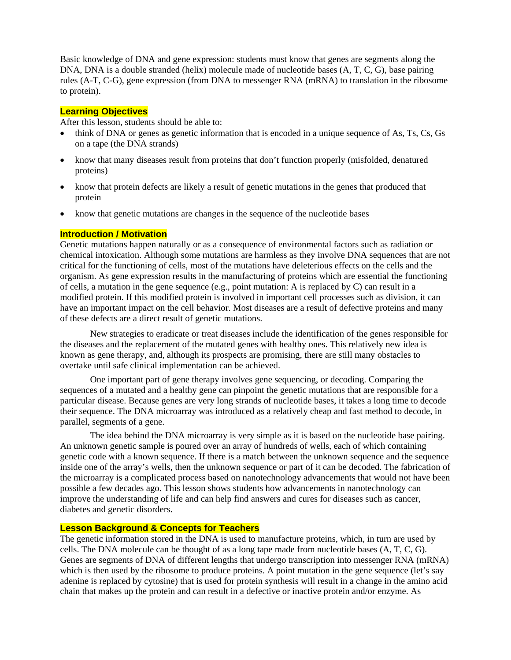Basic knowledge of DNA and gene expression: students must know that genes are segments along the DNA, DNA is a double stranded (helix) molecule made of nucleotide bases (A, T, C, G), base pairing rules (A-T, C-G), gene expression (from DNA to messenger RNA (mRNA) to translation in the ribosome to protein).

#### **Learning Objectives**

After this lesson, students should be able to:

- think of DNA or genes as genetic information that is encoded in a unique sequence of As, Ts, Cs, Gs on a tape (the DNA strands)
- know that many diseases result from proteins that don't function properly (misfolded, denatured proteins)
- know that protein defects are likely a result of genetic mutations in the genes that produced that protein
- know that genetic mutations are changes in the sequence of the nucleotide bases

#### **Introduction / Motivation**

Genetic mutations happen naturally or as a consequence of environmental factors such as radiation or chemical intoxication. Although some mutations are harmless as they involve DNA sequences that are not critical for the functioning of cells, most of the mutations have deleterious effects on the cells and the organism. As gene expression results in the manufacturing of proteins which are essential the functioning of cells, a mutation in the gene sequence (e.g., point mutation: A is replaced by  $C$ ) can result in a modified protein. If this modified protein is involved in important cell processes such as division, it can have an important impact on the cell behavior. Most diseases are a result of defective proteins and many of these defects are a direct result of genetic mutations.

New strategies to eradicate or treat diseases include the identification of the genes responsible for the diseases and the replacement of the mutated genes with healthy ones. This relatively new idea is known as gene therapy, and, although its prospects are promising, there are still many obstacles to overtake until safe clinical implementation can be achieved.

One important part of gene therapy involves gene sequencing, or decoding. Comparing the sequences of a mutated and a healthy gene can pinpoint the genetic mutations that are responsible for a particular disease. Because genes are very long strands of nucleotide bases, it takes a long time to decode their sequence. The DNA microarray was introduced as a relatively cheap and fast method to decode, in parallel, segments of a gene.

The idea behind the DNA microarray is very simple as it is based on the nucleotide base pairing. An unknown genetic sample is poured over an array of hundreds of wells, each of which containing genetic code with a known sequence. If there is a match between the unknown sequence and the sequence inside one of the array's wells, then the unknown sequence or part of it can be decoded. The fabrication of the microarray is a complicated process based on nanotechnology advancements that would not have been possible a few decades ago. This lesson shows students how advancements in nanotechnology can improve the understanding of life and can help find answers and cures for diseases such as cancer, diabetes and genetic disorders.

#### **Lesson Background & Concepts for Teachers**

The genetic information stored in the DNA is used to manufacture proteins, which, in turn are used by cells. The DNA molecule can be thought of as a long tape made from nucleotide bases (A, T, C, G). Genes are segments of DNA of different lengths that undergo transcription into messenger RNA (mRNA) which is then used by the ribosome to produce proteins. A point mutation in the gene sequence (let's say adenine is replaced by cytosine) that is used for protein synthesis will result in a change in the amino acid chain that makes up the protein and can result in a defective or inactive protein and/or enzyme. As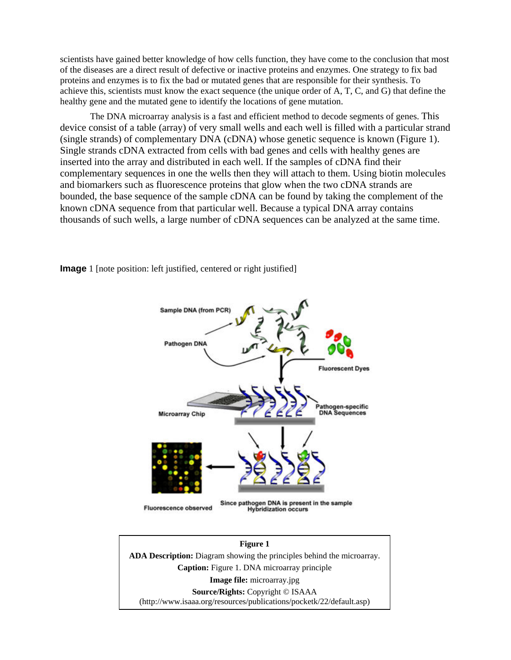scientists have gained better knowledge of how cells function, they have come to the conclusion that most of the diseases are a direct result of defective or inactive proteins and enzymes. One strategy to fix bad proteins and enzymes is to fix the bad or mutated genes that are responsible for their synthesis. To achieve this, scientists must know the exact sequence (the unique order of A, T, C, and G) that define the healthy gene and the mutated gene to identify the locations of gene mutation.

The DNA microarray analysis is a fast and efficient method to decode segments of genes. This device consist of a table (array) of very small wells and each well is filled with a particular strand (single strands) of complementary DNA (cDNA) whose genetic sequence is known (Figure 1). Single strands cDNA extracted from cells with bad genes and cells with healthy genes are inserted into the array and distributed in each well. If the samples of cDNA find their complementary sequences in one the wells then they will attach to them. Using biotin molecules and biomarkers such as fluorescence proteins that glow when the two cDNA strands are bounded, the base sequence of the sample cDNA can be found by taking the complement of the known cDNA sequence from that particular well. Because a typical DNA array contains thousands of such wells, a large number of cDNA sequences can be analyzed at the same time.

> **Sample DNA (from PCR Pathogen DNA Fluorescent Dyes** Pathogen-specific<br>DNA Sequences **Microarray Chip** Since pathogen DNA is present in the sample **Fluorescence observed Hybridization occurs**

**Image** 1 [note position: left justified, centered or right justified]

#### **Figure 1**

**ADA Description:** Diagram showing the principles behind the microarray. **Caption:** Figure 1. DNA microarray principle **Image file:** microarray.jpg **Source/Rights:** Copyright © ISAAA (http://www.isaaa.org/resources/publications/pocketk/22/default.asp)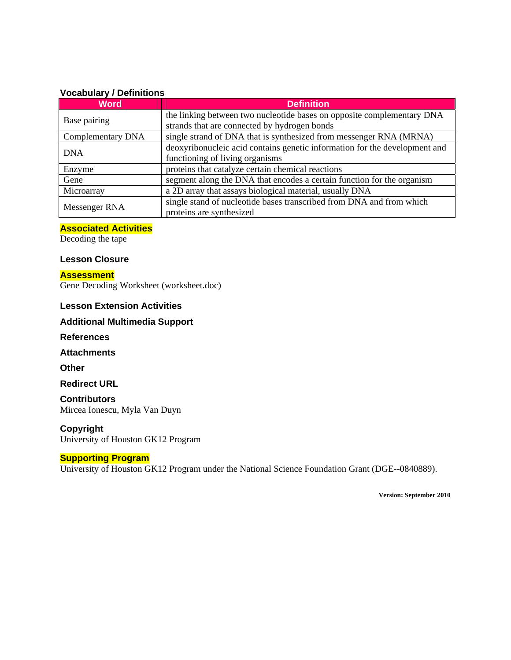#### **Vocabulary / Definitions**

| <b>Word</b>       | <b>Definition</b>                                                          |
|-------------------|----------------------------------------------------------------------------|
| Base pairing      | the linking between two nucleotide bases on opposite complementary DNA     |
|                   | strands that are connected by hydrogen bonds                               |
| Complementary DNA | single strand of DNA that is synthesized from messenger RNA (MRNA)         |
| <b>DNA</b>        | deoxyribonucleic acid contains genetic information for the development and |
|                   | functioning of living organisms                                            |
| Enzyme            | proteins that catalyze certain chemical reactions                          |
| Gene              | segment along the DNA that encodes a certain function for the organism     |
| Microarray        | a 2D array that assays biological material, usually DNA                    |
| Messenger RNA     | single stand of nucleotide bases transcribed from DNA and from which       |
|                   | proteins are synthesized                                                   |

#### **Associated Activities**

Decoding the tape

#### **Lesson Closure**

### **Assessment**

Gene Decoding Worksheet (worksheet.doc)

### **Lesson Extension Activities**

### **Additional Multimedia Support**

**References** 

#### **Attachments**

**Other** 

#### **Redirect URL**

**Contributors** Mircea Ionescu, Myla Van Duyn

#### **Copyright**

University of Houston GK12 Program

#### **Supporting Program**

University of Houston GK12 Program under the National Science Foundation Grant (DGE--0840889).

**Version: September 2010**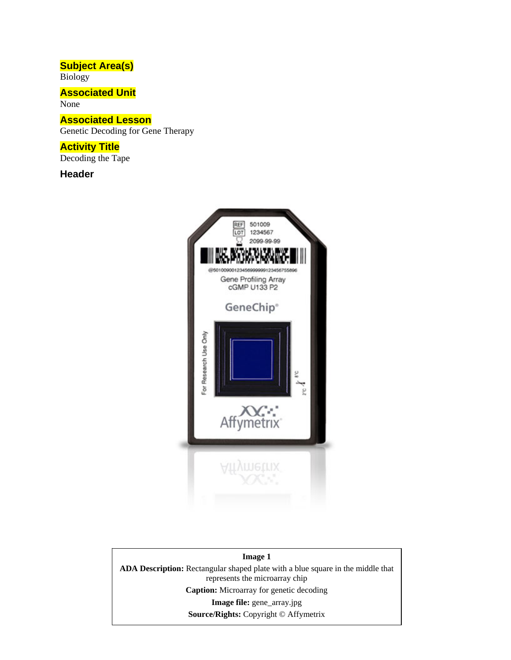## **Subject Area(s)**

Biology

### **Associated Unit**

None

### **Associated Lesson**

Genetic Decoding for Gene Therapy

### **Activity Title**

Decoding the Tape

**Header**



### **Image 1 ADA Description:** Rectangular shaped plate with a blue square in the middle that represents the microarray chip **Caption:** Microarray for genetic decoding **Image file:** gene\_array.jpg **Source/Rights:** Copyright © Affymetrix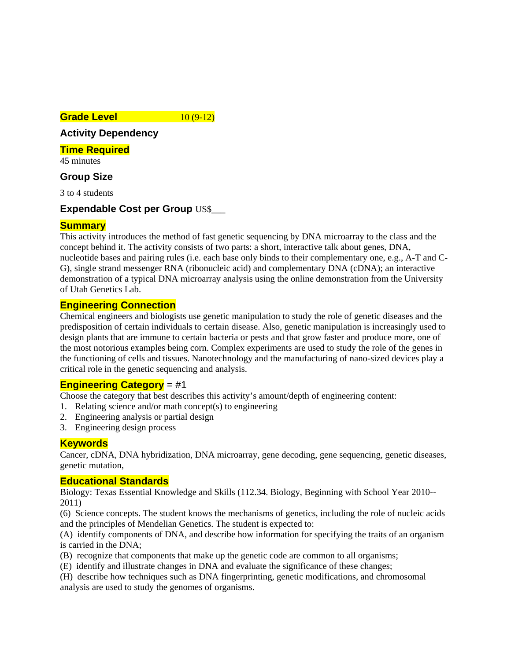#### **Grade Level 10 (9-12)**

### **Activity Dependency**

**Time Required** 

45 minutes

### **Group Size**

3 to 4 students

### **Expendable Cost per Group** US\$\_\_\_

### **Summary**

This activity introduces the method of fast genetic sequencing by DNA microarray to the class and the concept behind it. The activity consists of two parts: a short, interactive talk about genes, DNA, nucleotide bases and pairing rules (i.e. each base only binds to their complementary one, e.g., A-T and C-G), single strand messenger RNA (ribonucleic acid) and complementary DNA (cDNA); an interactive demonstration of a typical DNA microarray analysis using the online demonstration from the University of Utah Genetics Lab.

### **Engineering Connection**

Chemical engineers and biologists use genetic manipulation to study the role of genetic diseases and the predisposition of certain individuals to certain disease. Also, genetic manipulation is increasingly used to design plants that are immune to certain bacteria or pests and that grow faster and produce more, one of the most notorious examples being corn. Complex experiments are used to study the role of the genes in the functioning of cells and tissues. Nanotechnology and the manufacturing of nano-sized devices play a critical role in the genetic sequencing and analysis.

### **Engineering Category** = #1

Choose the category that best describes this activity's amount/depth of engineering content:

- 1. Relating science and/or math concept(s) to engineering
- 2. Engineering analysis or partial design
- 3. Engineering design process

### **Keywords**

Cancer, cDNA, DNA hybridization, DNA microarray, gene decoding, gene sequencing, genetic diseases, genetic mutation,

### **Educational Standards**

Biology: Texas Essential Knowledge and Skills (112.34. Biology, Beginning with School Year 2010-- 2011)

(6) Science concepts. The student knows the mechanisms of genetics, including the role of nucleic acids and the principles of Mendelian Genetics. The student is expected to:

(A) identify components of DNA, and describe how information for specifying the traits of an organism is carried in the DNA;

(B) recognize that components that make up the genetic code are common to all organisms;

(E) identify and illustrate changes in DNA and evaluate the significance of these changes;

(H) describe how techniques such as DNA fingerprinting, genetic modifications, and chromosomal analysis are used to study the genomes of organisms.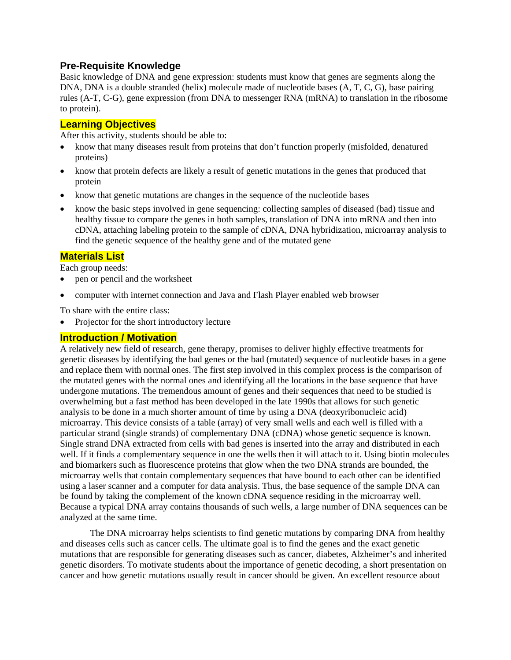### **Pre-Requisite Knowledge**

Basic knowledge of DNA and gene expression: students must know that genes are segments along the DNA, DNA is a double stranded (helix) molecule made of nucleotide bases (A, T, C, G), base pairing rules (A-T, C-G), gene expression (from DNA to messenger RNA (mRNA) to translation in the ribosome to protein).

### **Learning Objectives**

After this activity, students should be able to:

- know that many diseases result from proteins that don't function properly (misfolded, denatured proteins)
- know that protein defects are likely a result of genetic mutations in the genes that produced that protein
- know that genetic mutations are changes in the sequence of the nucleotide bases
- know the basic steps involved in gene sequencing: collecting samples of diseased (bad) tissue and healthy tissue to compare the genes in both samples, translation of DNA into mRNA and then into cDNA, attaching labeling protein to the sample of cDNA, DNA hybridization, microarray analysis to find the genetic sequence of the healthy gene and of the mutated gene

### **Materials List**

Each group needs:

- pen or pencil and the worksheet
- computer with internet connection and Java and Flash Player enabled web browser

To share with the entire class:

Projector for the short introductory lecture

### **Introduction / Motivation**

A relatively new field of research, gene therapy, promises to deliver highly effective treatments for genetic diseases by identifying the bad genes or the bad (mutated) sequence of nucleotide bases in a gene and replace them with normal ones. The first step involved in this complex process is the comparison of the mutated genes with the normal ones and identifying all the locations in the base sequence that have undergone mutations. The tremendous amount of genes and their sequences that need to be studied is overwhelming but a fast method has been developed in the late 1990s that allows for such genetic analysis to be done in a much shorter amount of time by using a DNA (deoxyribonucleic acid) microarray. This device consists of a table (array) of very small wells and each well is filled with a particular strand (single strands) of complementary DNA (cDNA) whose genetic sequence is known. Single strand DNA extracted from cells with bad genes is inserted into the array and distributed in each well. If it finds a complementary sequence in one the wells then it will attach to it. Using biotin molecules and biomarkers such as fluorescence proteins that glow when the two DNA strands are bounded, the microarray wells that contain complementary sequences that have bound to each other can be identified using a laser scanner and a computer for data analysis. Thus, the base sequence of the sample DNA can be found by taking the complement of the known cDNA sequence residing in the microarray well. Because a typical DNA array contains thousands of such wells, a large number of DNA sequences can be analyzed at the same time.

 The DNA microarray helps scientists to find genetic mutations by comparing DNA from healthy and diseases cells such as cancer cells. The ultimate goal is to find the genes and the exact genetic mutations that are responsible for generating diseases such as cancer, diabetes, Alzheimer's and inherited genetic disorders. To motivate students about the importance of genetic decoding, a short presentation on cancer and how genetic mutations usually result in cancer should be given. An excellent resource about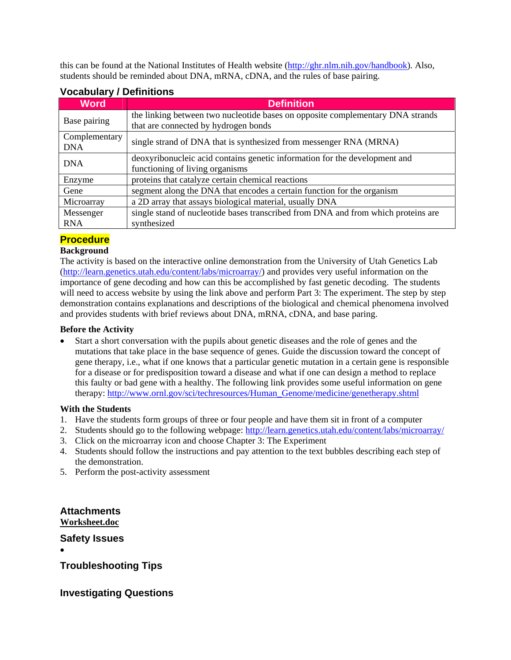this can be found at the National Institutes of Health website (http://ghr.nlm.nih.gov/handbook). Also, students should be reminded about DNA, mRNA, cDNA, and the rules of base pairing.

| <b>Word</b>                 | <b>Definition</b>                                                                                                      |
|-----------------------------|------------------------------------------------------------------------------------------------------------------------|
| Base pairing                | the linking between two nucleotide bases on opposite complementary DNA strands<br>that are connected by hydrogen bonds |
| Complementary<br><b>DNA</b> | single strand of DNA that is synthesized from messenger RNA (MRNA)                                                     |
| <b>DNA</b>                  | deoxyribonucleic acid contains genetic information for the development and                                             |
|                             | functioning of living organisms                                                                                        |
| Enzyme                      | proteins that catalyze certain chemical reactions                                                                      |
| Gene                        | segment along the DNA that encodes a certain function for the organism                                                 |
| Microarray                  | a 2D array that assays biological material, usually DNA                                                                |
| Messenger                   | single stand of nucleotide bases transcribed from DNA and from which proteins are                                      |
| <b>RNA</b>                  | synthesized                                                                                                            |

### **Vocabulary / Definitions**

### **Procedure**

### **Background**

The activity is based on the interactive online demonstration from the University of Utah Genetics Lab (http://learn.genetics.utah.edu/content/labs/microarray/) and provides very useful information on the importance of gene decoding and how can this be accomplished by fast genetic decoding. The students will need to access website by using the link above and perform Part 3: The experiment. The step by step demonstration contains explanations and descriptions of the biological and chemical phenomena involved and provides students with brief reviews about DNA, mRNA, cDNA, and base paring.

#### **Before the Activity**

 Start a short conversation with the pupils about genetic diseases and the role of genes and the mutations that take place in the base sequence of genes. Guide the discussion toward the concept of gene therapy, i.e., what if one knows that a particular genetic mutation in a certain gene is responsible for a disease or for predisposition toward a disease and what if one can design a method to replace this faulty or bad gene with a healthy. The following link provides some useful information on gene therapy: http://www.ornl.gov/sci/techresources/Human\_Genome/medicine/genetherapy.shtml

#### **With the Students**

- 1. Have the students form groups of three or four people and have them sit in front of a computer
- 2. Students should go to the following webpage: http://learn.genetics.utah.edu/content/labs/microarray/
- 3. Click on the microarray icon and choose Chapter 3: The Experiment
- 4. Students should follow the instructions and pay attention to the text bubbles describing each step of the demonstration.
- 5. Perform the post-activity assessment

**Attachments Worksheet.doc** 

**Safety Issues** 

 $\bullet$ 

**Troubleshooting Tips** 

**Investigating Questions**